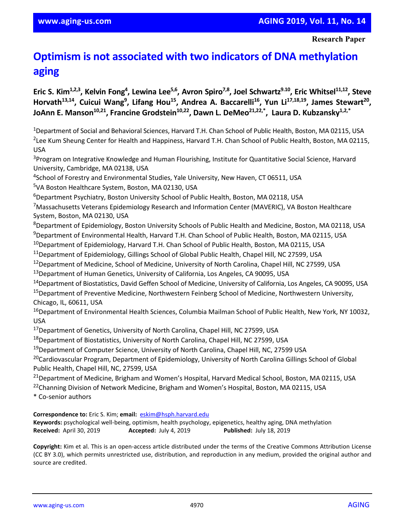**Research Paper**

# **Optimism is not associated with two indicators of DNA methylation aging**

Eric S. Kim<sup>1,2,3</sup>, Kelvin Fong<sup>4</sup>, Lewina Lee<sup>5,6</sup>, Avron Spiro<sup>7,8</sup>, Joel Schwartz<sup>9.10</sup>, Eric Whitsel<sup>11,12</sup>, Steve Horvath<sup>13,14</sup>, Cuicui Wang<sup>9</sup>, Lifang Hou<sup>15</sup>, Andrea A. Baccarelli<sup>16</sup>, Yun Li<sup>17,18,19</sup>, James Stewart<sup>20</sup>, JoAnn E. Manson<sup>10,21</sup>, Francine Grodstein<sup>10,22</sup>, Dawn L. DeMeo<sup>21,22,\*</sup>, Laura D. Kubzansky<sup>1,2,\*</sup>

<sup>1</sup>Department of Social and Behavioral Sciences, Harvard T.H. Chan School of Public Health, Boston, MA 02115, USA <sup>2</sup>Lee Kum Sheung Center for Health and Happiness, Harvard T.H. Chan School of Public Health, Boston, MA 02115, USA

3Program on Integrative Knowledge and Human Flourishing, Institute for Quantitative Social Science, Harvard University, Cambridge, MA 02138, USA

4School of Forestry and Environmental Studies, Yale University, New Haven, CT 06511, USA

5VA Boston Healthcare System, Boston, MA 02130, USA

6Department Psychiatry, Boston University School of Public Health, Boston, MA 02118, USA

7Massachusetts Veterans Epidemiology Research and Information Center (MAVERIC), VA Boston Healthcare System, Boston, MA 02130, USA

8Department of Epidemiology, Boston University Schools of Public Health and Medicine, Boston, MA 02118, USA 9Department of Environmental Health, Harvard T.H. Chan School of Public Health, Boston, MA 02115, USA

<sup>10</sup>Department of Epidemiology, Harvard T.H. Chan School of Public Health, Boston, MA 02115, USA

<sup>11</sup> Department of Epidemiology, Gillings School of Global Public Health, Chapel Hill, NC 27599, USA

<sup>12</sup>Department of Medicine, School of Medicine, University of North Carolina, Chapel Hill, NC 27599, USA

<sup>13</sup>Department of Human Genetics, University of California, Los Angeles, CA 90095, USA

<sup>14</sup>Department of Biostatistics, David Geffen School of Medicine, University of California, Los Angeles, CA 90095, USA <sup>15</sup>Department of Preventive Medicine, Northwestern Feinberg School of Medicine, Northwestern University, Chicago, IL, 60611, USA

<sup>16</sup>Department of Environmental Health Sciences, Columbia Mailman School of Public Health, New York, NY 10032, USA

<sup>17</sup>Department of Genetics, University of North Carolina, Chapel Hill, NC 27599, USA

<sup>18</sup>Department of Biostatistics, University of North Carolina, Chapel Hill, NC 27599, USA

<sup>19</sup>Department of Computer Science, University of North Carolina, Chapel Hill, NC, 27599 USA

<sup>20</sup>Cardiovascular Program, Department of Epidemiology, University of North Carolina Gillings School of Global Public Health, Chapel Hill, NC, 27599, USA

<sup>21</sup> Department of Medicine, Brigham and Women's Hospital, Harvard Medical School, Boston, MA 02115, USA

<sup>22</sup>Channing Division of Network Medicine, Brigham and Women's Hospital, Boston, MA 02115, USA

\* Co-senior authors

**Correspondence to:** Eric S. Kim; **email:** eskim@hsph.harvard.edu

**Keywords:** psychological well-being, optimism, health psychology, epigenetics, healthy aging, DNA methylation **Received:** April 30, 2019 **Accepted:** July 4, 2019 **Published:** July 18, 2019

**Copyright:** Kim et al. This is an open-access article distributed under the terms of the Creative Commons Attribution License (CC BY 3.0), which permits unrestricted use, distribution, and reproduction in any medium, provided the original author and source are credited.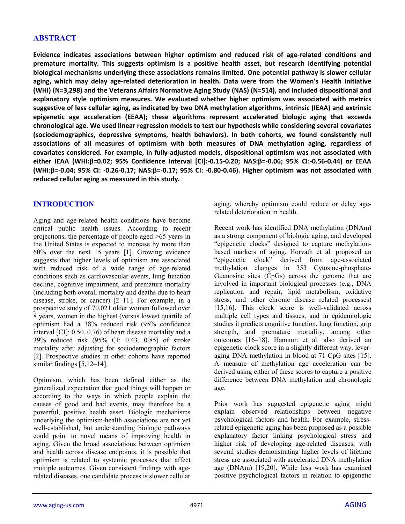## **ABSTRACT**

**Evidence indicates associations between higher optimism and reduced risk of age-related conditions and premature mortality. This suggests optimism is a positive health asset, but research identifying potential biological mechanisms underlying these associations remains limited. One potential pathway is slower cellular aging, which may delay age-related deterioration in health. Data were from the Women's Health Initiative (WHI) (N=3,298) and the Veterans Affairs Normative Aging Study (NAS) (N=514), and included dispositional and explanatory style optimism measures. We evaluated whether higher optimism was associated with metrics** suggestive of less cellular aging, as indicated by two DNA methylation algorithms, intrinsic (IEAA) and extrinsic **epigenetic age acceleration (EEAA); these algorithms represent accelerated biologic aging that exceeds chronological age. We used linear regression models to test our hypothesis while considering several covariates (sociodemographics, depressive symptoms, health behaviors). In both cohorts, we found consistently null associations of all measures of optimism with both measures of DNA methylation aging, regardless of covariates considered. For example, in fully-adjusted models, dispositional optimism was not associated with either IEAA (WHI:β=0.02; 95% Confidence Interval [CI]:-0.15-0.20; NAS:β=-0.06; 95% CI:-0.56-0.44) or EEAA (WHI:β=-0.04; 95% CI: -0.26-0.17; NAS:β=-0.17; 95% CI: -0.80-0.46). Higher optimism was not associated with reduced cellular aging as measured in this study.**

## **INTRODUCTION**

Aging and age-related health conditions have become critical public health issues. According to recent projections, the percentage of people aged >65 years in the United States is expected to increase by more than 60% over the next 15 years [1]. Growing evidence suggests that higher levels of optimism are associated with reduced risk of a wide range of age-related conditions such as cardiovascular events, lung function decline, cognitive impairment, and premature mortality (including both overall mortality and deaths due to heart disease, stroke, or cancer) [2–11]. For example, in a prospective study of 70,021 older women followed over 8 years, women in the highest (versus lowest quartile of optimism had a 38% reduced risk (95% confidence interval [CI]: 0.50, 0.76) of heart disease mortality and a 39% reduced risk (95% CI: 0.43, 0.85) of stroke mortality after adjusting for sociodemographic factors [2]. Prospective studies in other cohorts have reported similar findings [5,12–14].

Optimism, which has been defined either as the generalized expectation that good things will happen or according to the ways in which people explain the causes of good and bad events, may therefore be a powerful, positive health asset. Biologic mechanisms underlying the optimism-health associations are not yet well-established, but understanding biologic pathways could point to novel means of improving health in aging. Given the broad associations between optimism and health across disease endpoints, it is possible that optimism is related to systemic processes that affect multiple outcomes. Given consistent findings with agerelated diseases, one candidate process is slower cellular

aging, whereby optimism could reduce or delay agerelated deterioration in health.

Recent work has identified DNA methylation (DNAm) as a strong component of biologic aging, and developed "epigenetic clocks" designed to capture methylationbased markers of aging. Horvath et al. proposed an "epigenetic clock" derived from age-associated methylation changes in 353 Cytosine-phosphate-Guanosine sites (CpGs) across the genome that are involved in important biological processes (e.g., DNA replication and repair, lipid metabolism, oxidative stress, and other chronic disease related processes) [15,16]. This clock score is well-validated across multiple cell types and tissues, and in epidemiologic studies it predicts cognitive function, lung function, grip strength, and premature mortality, among other outcomes [16–18]. Hannum et al. also derived an epigenetic clock score in a slightly different way, leveraging DNA methylation in blood at 71 CpG sites [15]. A measure of methylation age acceleration can be derived using either of these scores to capture a positive difference between DNA methylation and chronologic age.

Prior work has suggested epigenetic aging might explain observed relationships between negative psychological factors and health. For example, stressrelated epigenetic aging has been proposed as a possible explanatory factor linking psychological stress and higher risk of developing age-related diseases, with several studies demonstrating higher levels of lifetime stress are associated with accelerated DNA methylation age (DNAm) [19,20]. While less work has examined positive psychological factors in relation to epigenetic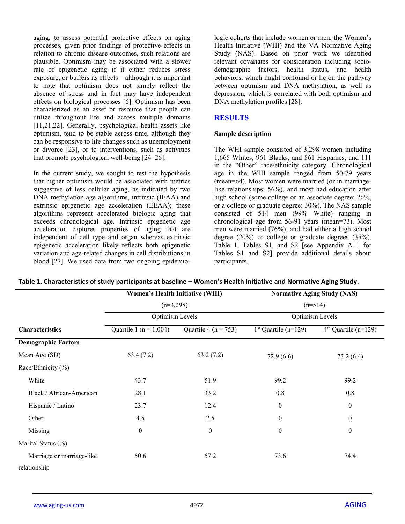aging, to assess potential protective effects on aging processes, given prior findings of protective effects in relation to chronic disease outcomes, such relations are plausible. Optimism may be associated with a slower rate of epigenetic aging if it either reduces stress exposure, or buffers its effects – although it is important to note that optimism does not simply reflect the absence of stress and in fact may have independent effects on biological processes [6]. Optimism has been characterized as an asset or resource that people can utilize throughout life and across multiple domains [11,21,22]. Generally, psychological health assets like optimism, tend to be stable across time, although they can be responsive to life changes such as unemployment or divorce [23], or to interventions, such as activities that promote psychological well-being [24–26].

In the current study, we sought to test the hypothesis that higher optimism would be associated with metrics suggestive of less cellular aging, as indicated by two DNA methylation age algorithms, intrinsic (IEAA) and extrinsic epigenetic age acceleration (EEAA); these algorithms represent accelerated biologic aging that exceeds chronological age. Intrinsic epigenetic age acceleration captures properties of aging that are independent of cell type and organ whereas extrinsic epigenetic acceleration likely reflects both epigenetic variation and age-related changes in cell distributions in blood [27]. We used data from two ongoing epidemiologic cohorts that include women or men, the Women's Health Initiative (WHI) and the VA Normative Aging Study (NAS). Based on prior work we identified relevant covariates for consideration including sociodemographic factors, health status, and health behaviors, which might confound or lie on the pathway between optimism and DNA methylation, as well as depression, which is correlated with both optimism and DNA methylation profiles [28].

#### **RESULTS**

#### **Sample description**

The WHI sample consisted of 3,298 women including 1,665 Whites, 961 Blacks, and 561 Hispanics, and 111 in the "Other" race/ethnicity category. Chronological age in the WHI sample ranged from 50-79 years (mean=64). Most women were married (or in marriagelike relationships: 56%), and most had education after high school (some college or an associate degree: 26%, or a college or graduate degree: 30%). The NAS sample consisted of 514 men (99% White) ranging in chronological age from 56-91 years (mean=73). Most men were married (76%), and had either a high school degree (20%) or college or graduate degrees (35%). Table 1, Tables S1, and S2 [see Appendix A 1 for Tables S1 and S2] provide additional details about participants.

|                            | <b>Women's Health Initiative (WHI)</b> |                          | <b>Normative Aging Study (NAS)</b> |                        |  |  |
|----------------------------|----------------------------------------|--------------------------|------------------------------------|------------------------|--|--|
|                            | $(n=3,298)$                            |                          | $(n=514)$<br>Optimism Levels       |                        |  |  |
|                            | Optimism Levels                        |                          |                                    |                        |  |  |
| <b>Characteristics</b>     | Quartile 1 ( $n = 1,004$ )             | Quartile 4 ( $n = 753$ ) | $1st$ Quartile (n=129)             | $4th$ Quartile (n=129) |  |  |
| <b>Demographic Factors</b> |                                        |                          |                                    |                        |  |  |
| Mean Age (SD)              | 63.4(7.2)                              | 63.2(7.2)                | 72.9(6.6)                          | 73.2(6.4)              |  |  |
| Race/Ethnicity $(\% )$     |                                        |                          |                                    |                        |  |  |
| White                      | 43.7                                   | 51.9                     | 99.2                               | 99.2                   |  |  |
| Black / African-American   | 28.1                                   | 33.2                     | 0.8                                | 0.8                    |  |  |
| Hispanic / Latino          | 23.7                                   | 12.4                     | $\mathbf{0}$                       | $\mathbf{0}$           |  |  |
| Other                      | 4.5                                    | 2.5                      | $\theta$                           | $\theta$               |  |  |
| Missing                    | $\boldsymbol{0}$                       | $\boldsymbol{0}$         | $\boldsymbol{0}$                   | $\boldsymbol{0}$       |  |  |
| Marital Status (%)         |                                        |                          |                                    |                        |  |  |
| Marriage or marriage-like  | 50.6                                   | 57.2                     | 73.6                               | 74.4                   |  |  |
| relationship               |                                        |                          |                                    |                        |  |  |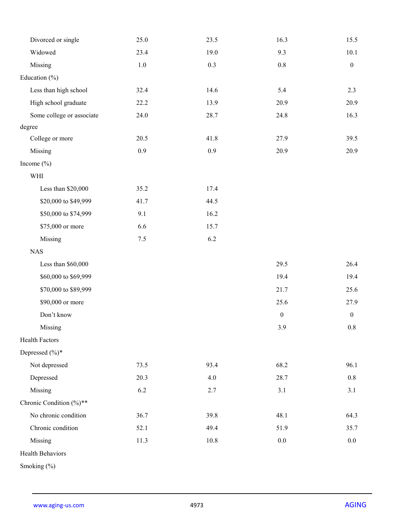| Divorced or single        | 25.0    | 23.5 | 16.3             | 15.5             |
|---------------------------|---------|------|------------------|------------------|
| Widowed                   | 23.4    | 19.0 | 9.3              | 10.1             |
| Missing                   | $1.0\,$ | 0.3  | $0.8\,$          | $\boldsymbol{0}$ |
| Education $(\% )$         |         |      |                  |                  |
| Less than high school     | 32.4    | 14.6 | 5.4              | 2.3              |
| High school graduate      | 22.2    | 13.9 | 20.9             | 20.9             |
| Some college or associate | 24.0    | 28.7 | 24.8             | 16.3             |
| degree                    |         |      |                  |                  |
| College or more           | 20.5    | 41.8 | 27.9             | 39.5             |
| Missing                   | 0.9     | 0.9  | 20.9             | 20.9             |
| Income $(\% )$            |         |      |                  |                  |
| WHI                       |         |      |                  |                  |
| Less than \$20,000        | 35.2    | 17.4 |                  |                  |
| \$20,000 to \$49,999      | 41.7    | 44.5 |                  |                  |
| \$50,000 to \$74,999      | 9.1     | 16.2 |                  |                  |
| \$75,000 or more          | 6.6     | 15.7 |                  |                  |
| Missing                   | 7.5     | 6.2  |                  |                  |
| <b>NAS</b>                |         |      |                  |                  |
| Less than \$60,000        |         |      | 29.5             | 26.4             |
| \$60,000 to \$69,999      |         |      | 19.4             | 19.4             |
| \$70,000 to \$89,999      |         |      | 21.7             | 25.6             |
| \$90,000 or more          |         |      | 25.6             | 27.9             |
| Don't know                |         |      | $\boldsymbol{0}$ | $\boldsymbol{0}$ |
| Missing                   |         |      | 3.9              | $0.8\,$          |
| <b>Health Factors</b>     |         |      |                  |                  |
| Depressed $(\%)^*$        |         |      |                  |                  |
| Not depressed             | 73.5    | 93.4 | 68.2             | 96.1             |
| Depressed                 | 20.3    | 4.0  | 28.7             | $0.8\,$          |
| Missing                   | 6.2     | 2.7  | 3.1              | 3.1              |
| Chronic Condition (%)**   |         |      |                  |                  |
| No chronic condition      | 36.7    | 39.8 | 48.1             | 64.3             |
| Chronic condition         | 52.1    | 49.4 | 51.9             | 35.7             |
| Missing                   | 11.3    | 10.8 | 0.0              | 0.0              |
| Health Behaviors          |         |      |                  |                  |
| Smoking (%)               |         |      |                  |                  |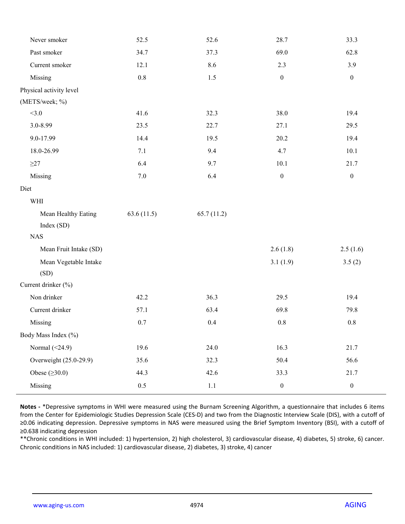| Never smoker            | 52.5       | 52.6       | 28.7             | 33.3             |
|-------------------------|------------|------------|------------------|------------------|
| Past smoker             | 34.7       | 37.3       | 69.0             | 62.8             |
| Current smoker          | 12.1       | 8.6        | 2.3              | 3.9              |
| Missing                 | $0.8\,$    | $1.5$      | $\boldsymbol{0}$ | $\boldsymbol{0}$ |
| Physical activity level |            |            |                  |                  |
| (METS/week; %)          |            |            |                  |                  |
| <3.0                    | 41.6       | 32.3       | 38.0             | 19.4             |
| 3.0-8.99                | 23.5       | 22.7       | 27.1             | 29.5             |
| 9.0-17.99               | 14.4       | 19.5       | 20.2             | 19.4             |
| 18.0-26.99              | $7.1\,$    | 9.4        | 4.7              | 10.1             |
| $\geq$ 27               | 6.4        | 9.7        | 10.1             | 21.7             |
| Missing                 | $7.0\,$    | 6.4        | $\boldsymbol{0}$ | $\boldsymbol{0}$ |
| Diet                    |            |            |                  |                  |
| WHI                     |            |            |                  |                  |
| Mean Healthy Eating     | 63.6(11.5) | 65.7(11.2) |                  |                  |
| Index (SD)              |            |            |                  |                  |
| $\operatorname{NAS}$    |            |            |                  |                  |
| Mean Fruit Intake (SD)  |            |            | 2.6(1.8)         | 2.5(1.6)         |
| Mean Vegetable Intake   |            |            | 3.1(1.9)         | 3.5(2)           |
| (SD)                    |            |            |                  |                  |
| Current drinker (%)     |            |            |                  |                  |
| Non drinker             | 42.2       | 36.3       | 29.5             | 19.4             |
| Current drinker         | 57.1       | 63.4       | 69.8             | 79.8             |
| Missing                 | $0.7\,$    | 0.4        | $0.8\,$          | $0.8\,$          |
| Body Mass Index (%)     |            |            |                  |                  |
| Normal $(\leq24.9)$     | 19.6       | 24.0       | 16.3             | 21.7             |
| Overweight (25.0-29.9)  | 35.6       | 32.3       | 50.4             | 56.6             |
| Obese $(\geq 30.0)$     | 44.3       | 42.6       | 33.3             | 21.7             |
| Missing                 | $0.5\,$    | $1.1\,$    | $\boldsymbol{0}$ | $\boldsymbol{0}$ |

**Notes -** \*Depressive symptoms in WHI were measured using the Burnam Screening Algorithm, a questionnaire that includes 6 items from the Center for Epidemiologic Studies Depression Scale (CES-D) and two from the Diagnostic Interview Scale (DIS), with a cutoff of ≥0.06 indicating depression. Depressive symptoms in NAS were measured using the Brief Symptom Inventory (BSI), with a cutoff of ≥0.638 indicating depression

\*\*Chronic conditions in WHI included: 1) hypertension, 2) high cholesterol, 3) cardiovascular disease, 4) diabetes, 5) stroke, 6) cancer. Chronic conditions in NAS included: 1) cardiovascular disease, 2) diabetes, 3) stroke, 4) cancer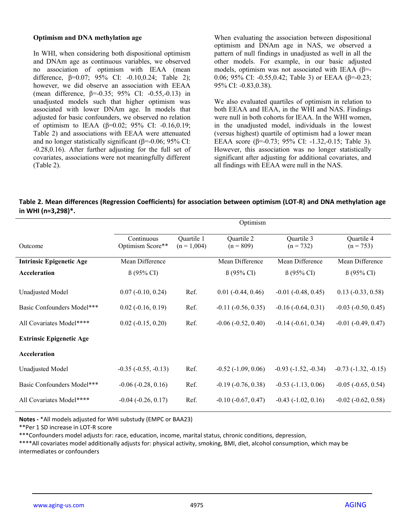#### **Optimism and DNA methylation age**

In WHI, when considering both dispositional optimism and DNAm age as continuous variables, we observed no association of optimism with IEAA (mean difference, β=0.07; 95% CI: -0.10,0.24; Table 2); however, we did observe an association with EEAA (mean difference, β=-0.35; 95% CI: -0.55,-0.13) in unadjusted models such that higher optimism was associated with lower DNAm age. In models that adjusted for basic confounders, we observed no relation of optimism to IEAA (β=0.02; 95% CI: -0.16,0.19; Table 2) and associations with EEAA were attenuated and no longer statistically significant ( $\beta$ =-0.06; 95% CI: -0.28,0.16). After further adjusting for the full set of covariates, associations were not meaningfully different (Table 2).

When evaluating the association between dispositional optimism and DNAm age in NAS, we observed a pattern of null findings in unadjusted as well in all the other models. For example, in our basic adjusted models, optimism was not associated with IEAA ( $\beta$ =-0.06; 95% CI: -0.55,0.42; Table 3) or EEAA ( $\beta$ =-0.23; 95% CI: -0.83,0.38).

We also evaluated quartiles of optimism in relation to both EEAA and IEAA, in the WHI and NAS. Findings were null in both cohorts for IEAA. In the WHI women, in the unadjusted model, individuals in the lowest (versus highest) quartile of optimism had a lower mean EEAA score (β=-0.73; 95% CI: -1.32,-0.15; Table 3). However, this association was no longer statistically significant after adjusting for additional covariates, and all findings with EEAA were null in the NAS.

**Table 2. Mean differences (Regression Coefficients) for association between optimism (LOT-R) and DNA methylation age in WHI (n=3,298)\*.**

|                                 | Optimism                       |                             |                              |                           |                           |
|---------------------------------|--------------------------------|-----------------------------|------------------------------|---------------------------|---------------------------|
| Outcome                         | Continuous<br>Optimism Score** | Quartile 1<br>$(n = 1,004)$ | Quartile 2<br>$(n = 809)$    | Quartile 3<br>$(n = 732)$ | Quartile 4<br>$(n = 753)$ |
| <b>Intrinsic Epigenetic Age</b> | Mean Difference                |                             | Mean Difference              | Mean Difference           | Mean Difference           |
| Acceleration                    | $\beta$ (95% CI)               |                             | $\beta$ (95% CI)             | $\beta$ (95% CI)          | $\beta$ (95% CI)          |
| Unadjusted Model                | $0.07 (-0.10, 0.24)$           | Ref.                        | $0.01 (-0.44, 0.46)$         | $-0.01$ $(-0.48, 0.45)$   | $0.13(-0.33, 0.58)$       |
| Basic Confounders Model***      | $0.02$ ( $-0.16$ , $0.19$ )    | Ref.                        | $-0.11(-0.56, 0.35)$         | $-0.16(-0.64, 0.31)$      | $-0.03$ $(-0.50, 0.45)$   |
| All Covariates Model****        | $0.02 (-0.15, 0.20)$           | Ref.                        | $-0.06$ $(-0.52, 0.40)$      | $-0.14(-0.61, 0.34)$      | $-0.01$ $(-0.49, 0.47)$   |
| <b>Extrinsic Epigenetic Age</b> |                                |                             |                              |                           |                           |
| Acceleration                    |                                |                             |                              |                           |                           |
| Unadjusted Model                | $-0.35$ $(-0.55, -0.13)$       | Ref.                        | $-0.52$ ( $-1.09$ , $0.06$ ) | $-0.93$ $(-1.52, -0.34)$  | $-0.73$ $(-1.32, -0.15)$  |
| Basic Confounders Model***      | $-0.06$ $(-0.28, 0.16)$        | Ref.                        | $-0.19(-0.76, 0.38)$         | $-0.53$ $(-1.13, 0.06)$   | $-0.05$ $(-0.65, 0.54)$   |
| All Covariates Model****        | $-0.04$ $(-0.26, 0.17)$        | Ref.                        | $-0.10(-0.67, 0.47)$         | $-0.43$ $(-1.02, 0.16)$   | $-0.02$ ( $-0.62$ , 0.58) |

**Notes -** \*All models adjusted for WHI substudy (EMPC or BAA23)

\*\*Per 1 SD increase in LOT-R score

\*\*\*Confounders model adjusts for: race, education, income, marital status, chronic conditions, depression,

\*\*\*\*All covariates model additionally adjusts for: physical activity, smoking, BMI, diet, alcohol consumption, which may be intermediates or confounders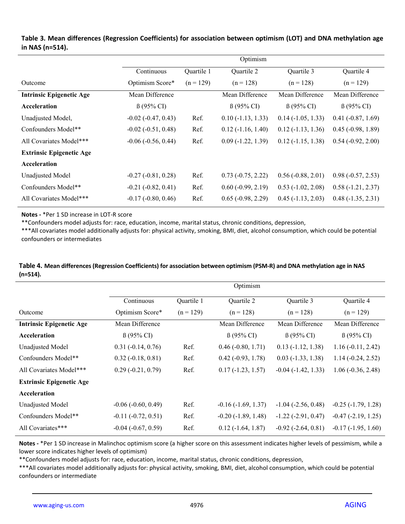|                                 | Optimism                |             |                      |                             |                      |
|---------------------------------|-------------------------|-------------|----------------------|-----------------------------|----------------------|
|                                 | Continuous              | Quartile 1  | Quartile 2           | Quartile 3                  | Quartile 4           |
| Outcome                         | Optimism Score*         | $(n = 129)$ | $(n = 128)$          | $(n = 128)$                 | $(n = 129)$          |
| <b>Intrinsic Epigenetic Age</b> | Mean Difference         |             | Mean Difference      | Mean Difference             | Mean Difference      |
| Acceleration                    | $\beta$ (95% CI)        |             | $\beta$ (95% CI)     | $\beta$ (95% CI)            | $\beta$ (95% CI)     |
| Unadjusted Model,               | $-0.02$ $(-0.47, 0.43)$ | Ref.        | $0.10(-1.13, 1.33)$  | $0.14(-1.05, 1.33)$         | $0.41 (-0.87, 1.69)$ |
| Confounders Model**             | $-0.02$ $(-0.51, 0.48)$ | Ref.        | $0.12(-1.16, 1.40)$  | $0.12(-1.13, 1.36)$         | $0.45 (-0.98, 1.89)$ |
| All Covariates Model***         | $-0.06$ $(-0.56, 0.44)$ | Ref.        | $0.09(-1.22, 1.39)$  | $0.12(-1.15, 1.38)$         | $0.54(-0.92, 2.00)$  |
| <b>Extrinsic Epigenetic Age</b> |                         |             |                      |                             |                      |
| Acceleration                    |                         |             |                      |                             |                      |
| Unadjusted Model                | $-0.27(-0.81, 0.28)$    | Ref.        | $0.73 (-0.75, 2.22)$ | $0.56(-0.88, 2.01)$         | $0.98(-0.57, 2.53)$  |
| Confounders Model**             | $-0.21 (-0.82, 0.41)$   | Ref.        | $0.60(-0.99, 2.19)$  | $0.53$ ( $-1.02$ , $2.08$ ) | $0.58(-1.21, 2.37)$  |
| All Covariates Model***         | $-0.17(-0.80, 0.46)$    | Ref.        | $0.65 (-0.98, 2.29)$ | $0.45 (-1.13, 2.03)$        | $0.48(-1.35, 2.31)$  |

## **Table 3. Mean differences (Regression Coefficients) for association between optimism (LOT) and DNA methylation age in NAS (n=514).**

**Notes -** \*Per 1 SD increase in LOT-R score

\*\*Confounders model adjusts for: race, education, income, marital status, chronic conditions, depression,

\*\*\*All covariates model additionally adjusts for: physical activity, smoking, BMI, diet, alcohol consumption, which could be potential confounders or intermediates

#### **Table 4. Mean differences (Regression Coefficients) for association between optimism (PSM-R) and DNA methylation age in NAS (n=514).**

|                                 |                         |             | Optimism                |                           |                         |
|---------------------------------|-------------------------|-------------|-------------------------|---------------------------|-------------------------|
|                                 | Continuous              | Quartile 1  | Quartile 2              | Quartile 3                | Quartile 4              |
| Outcome                         | Optimism Score*         | $(n = 129)$ | $(n = 128)$             | $(n = 128)$               | $(n = 129)$             |
| <b>Intrinsic Epigenetic Age</b> | Mean Difference         |             | Mean Difference         | Mean Difference           | Mean Difference         |
| Acceleration                    | $\beta$ (95% CI)        |             | $\beta$ (95% CI)        | $\beta$ (95% CI)          | $\beta$ (95% CI)        |
| Unadjusted Model                | $0.31 (-0.14, 0.76)$    | Ref.        | $0.46 (-0.80, 1.71)$    | $0.13(-1.12, 1.38)$       | $1.16(-0.11, 2.42)$     |
| Confounders Model**             | $0.32(-0.18, 0.81)$     | Ref.        | $0.42 (-0.93, 1.78)$    | $0.03(-1.33, 1.38)$       | $1.14 (-0.24, 2.52)$    |
| All Covariates Model***         | $0.29(-0.21, 0.79)$     | Ref.        | $0.17(-1.23, 1.57)$     | $-0.04$ $(-1.42, 1.33)$   | $1.06(-0.36, 2.48)$     |
| <b>Extrinsic Epigenetic Age</b> |                         |             |                         |                           |                         |
| Acceleration                    |                         |             |                         |                           |                         |
| <b>Unadjusted Model</b>         | $-0.06$ $(-0.60, 0.49)$ | Ref.        | $-0.16(-1.69, 1.37)$    | $-1.04$ ( $-2.56$ , 0.48) | $-0.25$ $(-1.79, 1.28)$ |
| Confounders Model**             | $-0.11(-0.72, 0.51)$    | Ref.        | $-0.20$ $(-1.89, 1.48)$ | $-1.22$ ( $-2.91, 0.47$ ) | $-0.47$ $(-2.19, 1.25)$ |
| All Covariates***               | $-0.04$ $(-0.67, 0.59)$ | Ref.        | $0.12(-1.64, 1.87)$     | $-0.92$ $(-2.64, 0.81)$   | $-0.17(-1.95, 1.60)$    |
|                                 |                         |             |                         |                           |                         |

**Notes -** \*Per 1 SD increase in Malinchoc optimism score (a higher score on this assessment indicates higher levels of pessimism, while a lower score indicates higher levels of optimism)

\*\*Confounders model adjusts for: race, education, income, marital status, chronic conditions, depression,

\*\*\*All covariates model additionally adjusts for: physical activity, smoking, BMI, diet, alcohol consumption, which could be potential confounders or intermediate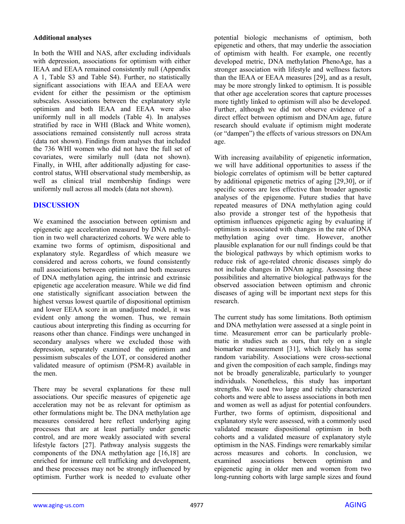#### **Additional analyses**

In both the WHI and NAS, after excluding individuals with depression, associations for optimism with either IEAA and EEAA remained consistently null (Appendix A 1, Table S3 and Table S4). Further, no statistically significant associations with IEAA and EEAA were evident for either the pessimism or the optimism subscales. Associations between the explanatory style optimism and both IEAA and EEAA were also uniformly null in all models (Table 4). In analyses stratified by race in WHI (Black and White women), associations remained consistently null across strata (data not shown). Findings from analyses that included the 736 WHI women who did not have the full set of covariates, were similarly null (data not shown). Finally, in WHI, after additionally adjusting for casecontrol status, WHI observational study membership, as well as clinical trial membership findings were uniformly null across all models (data not shown).

## **DISCUSSION**

We examined the association between optimism and epigenetic age acceleration measured by DNA methyltion in two well characterized cohorts. We were able to examine two forms of optimism, dispositional and explanatory style. Regardless of which measure we considered and across cohorts, we found consistently null associations between optimism and both measures of DNA methylation aging, the intrinsic and extrinsic epigenetic age acceleration measure. While we did find one statistically significant association between the highest versus lowest quartile of dispositional optimism and lower EEAA score in an unadjusted model, it was evident only among the women. Thus, we remain cautious about interpreting this finding as occurring for reasons other than chance. Findings were unchanged in secondary analyses where we excluded those with depression, separately examined the optimism and pessimism subscales of the LOT, or considered another validated measure of optimism (PSM-R) available in the men.

There may be several explanations for these null associations. Our specific measures of epigenetic age acceleration may not be as relevant for optimism as other formulations might be. The DNA methylation age measures considered here reflect underlying aging processes that are at least partially under genetic control, and are more weakly associated with several lifestyle factors [27]. Pathway analysis suggests the components of the DNA methylation age [16,18] are enriched for immune cell trafficking and development, and these processes may not be strongly influenced by optimism. Further work is needed to evaluate other

potential biologic mechanisms of optimism, both epigenetic and others, that may underlie the association of optimism with health. For example, one recently developed metric, DNA methylation PhenoAge, has a stronger association with lifestyle and wellness factors than the IEAA or EEAA measures [29], and as a result, may be more strongly linked to optimism. It is possible that other age acceleration scores that capture processes more tightly linked to optimism will also be developed. Further, although we did not observe evidence of a direct effect between optimism and DNAm age, future research should evaluate if optimism might moderate (or "dampen") the effects of various stressors on DNAm age.

With increasing availability of epigenetic information, we will have additional opportunities to assess if the biologic correlates of optimism will be better captured by additional epigenetic metrics of aging [29,30], or if specific scores are less effective than broader agnostic analyses of the epigenome. Future studies that have repeated measures of DNA methylation aging could also provide a stronger test of the hypothesis that optimism influences epigenetic aging by evaluating if optimism is associated with changes in the rate of DNA methylation aging over time. However, another plausible explanation for our null findings could be that the biological pathways by which optimism works to reduce risk of age-related chronic diseases simply do not include changes in DNAm aging. Assessing these possibilities and alternative biological pathways for the observed association between optimism and chronic diseases of aging will be important next steps for this research.

The current study has some limitations. Both optimism and DNA methylation were assessed at a single point in time. Measurement error can be particularly problematic in studies such as ours, that rely on a single biomarker measurement [31], which likely has some random variability. Associations were cross-sectional and given the composition of each sample, findings may not be broadly generalizable, particularly to younger individuals. Nonetheless, this study has important strengths. We used two large and richly characterized cohorts and were able to assess associations in both men and women as well as adjust for potential confounders. Further, two forms of optimism, dispositional and explanatory style were assessed, with a commonly used validated measure dispositional optimism in both cohorts and a validated measure of explanatory style optimism in the NAS. Findings were remarkably similar across measures and cohorts. In conclusion, we<br>examined associations between ontimism and associations between optimism and epigenetic aging in older men and women from two long-running cohorts with large sample sizes and found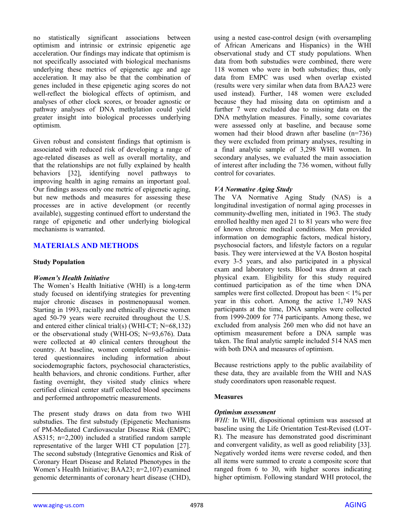no statistically significant associations between optimism and intrinsic or extrinsic epigenetic age acceleration. Our findings may indicate that optimism is not specifically associated with biological mechanisms underlying these metrics of epigenetic age and age acceleration. It may also be that the combination of genes included in these epigenetic aging scores do not well-reflect the biological effects of optimism, and analyses of other clock scores, or broader agnostic or pathway analyses of DNA methylation could yield greater insight into biological processes underlying optimism.

Given robust and consistent findings that optimism is associated with reduced risk of developing a range of age-related diseases as well as overall mortality, and that the relationships are not fully explained by health behaviors [32], identifying novel pathways to improving health in aging remains an important goal. Our findings assess only one metric of epigenetic aging, but new methods and measures for assessing these processes are in active development (or recently available), suggesting continued effort to understand the range of epigenetic and other underlying biological mechanisms is warranted.

## **MATERIALS AND METHODS**

#### **Study Population**

#### *Women's Health Initiative*

The Women's Health Initiative (WHI) is a long-term study focused on identifying strategies for preventing major chronic diseases in postmenopausal women. Starting in 1993, racially and ethnically diverse women aged 50-79 years were recruited throughout the U.S. and entered either clinical trial(s) (WHI-CT; N=68,132) or the observational study (WHI-OS; N=93,676). Data were collected at 40 clinical centers throughout the country. At baseline, women completed self-administered questionnaires including information about sociodemographic factors, psychosocial characteristics, health behaviors, and chronic conditions. Further, after fasting overnight, they visited study clinics where certified clinical center staff collected blood specimens and performed anthropometric measurements.

The present study draws on data from two WHI substudies. The first substudy (Epigenetic Mechanisms of PM-Mediated Cardiovascular Disease Risk (EMPC; AS315; n=2,200) included a stratified random sample representative of the larger WHI CT population [27]. The second substudy (Integrative Genomics and Risk of Coronary Heart Disease and Related Phenotypes in the Women's Health Initiative; BAA23; n=2,107) examined genomic determinants of coronary heart disease (CHD),

using a nested case-control design (with oversampling of African Americans and Hispanics) in the WHI observational study and CT study populations. When data from both substudies were combined, there were 118 women who were in both substudies; thus, only data from EMPC was used when overlap existed (results were very similar when data from BAA23 were used instead). Further, 148 women were excluded because they had missing data on optimism and a further 7 were excluded due to missing data on the DNA methylation measures. Finally, some covariates were assessed only at baseline, and because some women had their blood drawn after baseline (n=736) they were excluded from primary analyses, resulting in a final analytic sample of 3,298 WHI women. In secondary analyses, we evaluated the main association of interest after including the 736 women, without fully control for covariates.

#### *VA Normative Aging Study*

The VA Normative Aging Study (NAS) is a longitudinal investigation of normal aging processes in community-dwelling men, initiated in 1963. The study enrolled healthy men aged 21 to 81 years who were free of known chronic medical conditions. Men provided information on demographic factors, medical history, psychosocial factors, and lifestyle factors on a regular basis. They were interviewed at the VA Boston hospital every 3-5 years, and also participated in a physical exam and laboratory tests. Blood was drawn at each physical exam. Eligibility for this study required continued participation as of the time when DNA samples were first collected. Dropout has been  $\leq 1\%$  per year in this cohort. Among the active 1,749 NAS participants at the time, DNA samples were collected from 1999-2009 for 774 participants. Among these, we excluded from analysis 260 men who did not have an optimism measurement before a DNA sample was taken. The final analytic sample included 514 NAS men with both DNA and measures of optimism.

Because restrictions apply to the public availability of these data, they are available from the WHI and NAS study coordinators upon reasonable request.

#### **Measures**

#### *Optimism assessment*

*WHI:* In WHI, dispositional optimism was assessed at baseline using the Life Orientation Test-Revised (LOT-R). The measure has demonstrated good discriminant and convergent validity, as well as good reliability [33]. Negatively worded items were reverse coded, and then all items were summed to create a composite score that ranged from 6 to 30, with higher scores indicating higher optimism. Following standard WHI protocol, the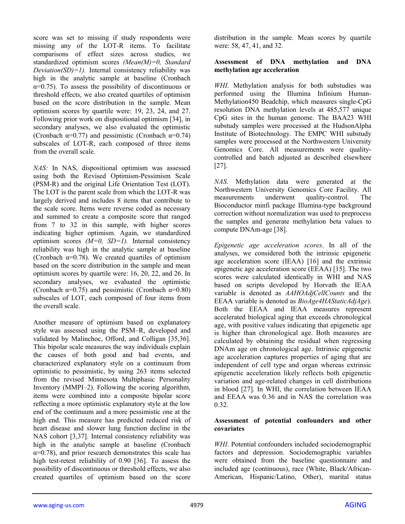score was set to missing if study respondents were missing any of the LOT-R items. To facilitate comparisons of effect sizes across studies, we standardized optimism scores *(Mean(M)=0, Standard Deviation(SD)=1).* Internal consistency reliability was high in the analytic sample at baseline (Cronbach  $\alpha$ =0.75). To assess the possibility of discontinuous or threshold effects, we also created quartiles of optimism based on the score distribution in the sample. Mean optimism scores by quartile were: 19, 23, 24, and 27. Following prior work on dispositional optimism [34], in secondary analyses, we also evaluated the optimistic (Cronbach  $\alpha$ =0.77) and pessimistic (Cronbach  $\alpha$ =0.74) subscales of LOT-R, each composed of three items from the overall scale.

*NAS:* In NAS, dispositional optimism was assessed using both the Revised Optimism-Pessimism Scale (PSM-R) and the original Life Orientation Test (LOT). The LOT is the parent scale from which the LOT-R was largely derived and includes 8 items that contribute to the scale score. Items were reverse coded as necessary and summed to create a composite score that ranged from 7 to 32 in this sample, with higher scores indicating higher optimism. Again, we standardized optimism scores *(M=0, SD=1).* Internal consistency reliability was high in the analytic sample at baseline (Cronbach  $\alpha$ =0.78). We created quartiles of optimism based on the score distribution in the sample and mean optimism scores by quartile were: 16, 20, 22, and 26. In secondary analyses, we evaluated the optimistic (Cronbach  $\alpha$ =0.75) and pessimistic (Cronbach  $\alpha$ =0.80) subscales of LOT, each composed of four items from the overall scale.

Another measure of optimism based on explanatory style was assessed using the PSM–R, developed and validated by Malinchoc, Offord, and Colligan [35,36]. This bipolar scale measures the way individuals explain the causes of both good and bad events, and characterized explanatory style on a continuum from optimistic to pessimistic, by using 263 items selected from the revised Minnesota Multiphasic Personality Inventory (MMPI–2). Following the scoring algorithm, items were combined into a composite bipolar score reflecting a more optimistic explanatory style at the low end of the continuum and a more pessimistic one at the high end. This measure has predicted reduced risk of heart disease and slower lung function decline in the NAS cohort [3,37]. Internal consistency reliability was high in the analytic sample at baseline (Cronbach  $\alpha$ =0.78), and prior research demonstrates this scale has high test-retest reliability of 0.90 [36]. To assess the possibility of discontinuous or threshold effects, we also created quartiles of optimism based on the score

distribution in the sample. Mean scores by quartile were: 58, 47, 41, and 32.

## **Assessment of DNA methylation and DNA methylation age acceleration**

*WHI*. Methylation analysis for both substudies was performed using the Illumina Infinium Human-Methylation450 Beadchip, which measures single-CpG resolution DNA methylation levels at 485,577 unique CpG sites in the human genome. The BAA23 WHI substudy samples were processed at the HudsonAlpha Institute of Biotechnology. The EMPC WHI substudy samples were processed at the Northwestern University Genomics Core. All measurements were qualitycontrolled and batch adjusted as described elsewhere [27].

*NAS*. Methylation data were generated at the Northwestern University Genomics Core Facility. All measurements underwent quality-control. The Bioconductor minfi package Illumina-type background correction without normalization was used to preprocess the samples and generate methylation beta values to compute DNAm-age [38].

*Epigenetic age acceleration scores*. In all of the analyses, we considered both the intrinsic epigenetic age acceleration score (IEAA) [16] and the extrinsic epigenetic age acceleration score (EEAA) [15]. The two scores were calculated identically in WHI and NAS based on scripts developed by Horvath the IEAA variable is denoted as *AAHOAdjCellCounts* and the EEAA variable is denoted as *BioAge4HAStaticAdjAge*). Both the EEAA and IEAA measures represent accelerated biological aging that exceeds chronological age, with positive values indicating that epigenetic age is higher than chronological age. Both measures are calculated by obtaining the residual when regressing DNAm age on chronological age. Intrinsic epigenetic age acceleration captures properties of aging that are independent of cell type and organ whereas extrinsic epigenetic acceleration likely reflects both epigenetic variation and age-related changes in cell distributions in blood [27]. In WHI, the correlation between IEAA and EEAA was 0.36 and in NAS the correlation was 0.32.

#### **Assessment of potential confounders and other covariates**

*WHI*. Potential confounders included sociodemographic factors and depression. Sociodemographic variables were obtained from the baseline questionnaire and included age (continuous), race (White, Black/African-American, Hispanic/Latino, Other), marital status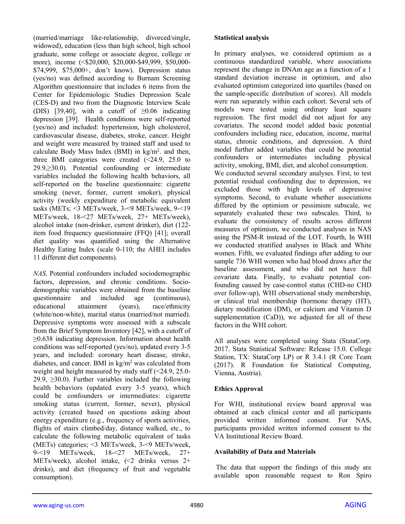(married/marriage like-relationship, divorced/single, widowed), education (less than high school, high school graduate, some college or associate degree, college or more), income (<\$20,000, \$20,000-\$49,999, \$50,000- \$74,999, \$75,000+, don't know). Depression status (yes/no) was defined according to Burnam Screening Algorithm questionnaire that includes 6 items from the Center for Epidemiologic Studies Depression Scale (CES-D) and two from the Diagnostic Interview Scale (DIS) [39,40], with a cutoff of  $\geq 0.06$  indicating depression [39]. Health conditions were self-reported (yes/no) and included: hypertension, high cholesterol, cardiovascular disease, diabetes, stroke, cancer. Height and weight were measured by trained staff and used to calculate Body Mass Index (BMI) in  $\text{kg/m}^2$ . and then, three BMI categories were created  $\approx$  24.9, 25.0 to 29.9,≥30.0). Potential confounding or intermediate variables included the following health behaviors, all self-reported on the baseline questionnaire: cigarette smoking (never, former, current smoker), physical activity (weekly expenditure of metabolic equivalent tasks (METs; <3 METs/week, 3-<9 METs/week, 9-<19 METs/week, 18-<27 METs/week, 27+ METs/week), alcohol intake (non-drinker, current drinker), diet (122 item food frequency questionnaire (FFQ) [41]; overall diet quality was quantified using the Alternative Healthy Eating Index (scale 0-110; the AHEI includes 11 different diet components).

*NAS*. Potential confounders included sociodemographic factors, depression, and chronic conditions. Sociodemographic variables were obtained from the baseline questionnaire and included age (continuous), educational attainment (years), race/ethnicity (white/non-white), marital status (married/not married). Depressive symptoms were assessed with a subscale from the Brief Symptom Inventory [42], with a cutoff of ≥0.638 indicating depression. Information about health conditions was self-reported (yes/no), updated every 3-5 years, and included: coronary heart disease, stroke, diabetes, and cancer. BMI in kg/m2 was calculated from weight and height measured by study staff (<24.9, 25.0- 29.9,  $\geq$ 30.0). Further variables included the following health behaviors (updated every 3-5 years), which could be confounders or intermediates: cigarette smoking status (current, former, never), physical activity (created based on questions asking about energy expenditure (e.g., frequency of sports activities, flights of stairs climbed/day, distance walked, etc., to calculate the following metabolic equivalent of tasks (METs) categories; <3 METs/week, 3-<9 METs/week, 9-<19 METs/week, 18-<27 METs/week, 27+ METs/week), alcohol intake,  $\leq 2$  drinks versus 2+ drinks), and diet (frequency of fruit and vegetable consumption).

#### **Statistical analysis**

In primary analyses, we considered optimism as a continuous standardized variable, where associations represent the change in DNAm age as a function of a 1 standard deviation increase in optimism, and also evaluated optimism categorized into quartiles (based on the sample-specific distribution of scores). All models were run separately within each cohort. Several sets of models were tested using ordinary least square regression. The first model did not adjust for any covariates. The second model added basic potential confounders including race, education, income, marital status, chronic conditions, and depression. A third model further added variables that could be potential confounders or intermediates including physical activity, smoking, BMI, diet, and alcohol consumption. We conducted several secondary analyses. First, to test potential residual confounding due to depression, we excluded those with high levels of depressive symptoms. Second, to evaluate whether associations differed by the optimism or pessimism subscale, we separately evaluated these two subscales. Third, to evaluate the consistency of results across different measures of optimism, we conducted analyses in NAS using the PSM-R instead of the LOT. Fourth, In WHI we conducted stratified analyses in Black and White women. Fifth, we evaluated findings after adding to our sample 736 WHI women who had blood draws after the baseline assessment, and who did not have full covariate data. Finally, to evaluate potential confounding caused by case-control status (CHD-no CHD over follow-up), WHI observational study membership, or clinical trial membership (hormone therapy (HT), dietary modification (DM), or calcium and Vitamin D supplementation (CaD)), we adjusted for all of these factors in the WHI cohort.

All analyses were completed using Stata (StataCorp. 2017. Stata Statistical Software: Release 15.0. College Station, TX: StataCorp LP) or R 3.4.1 (R Core Team (2017). R Foundation for Statistical Computing, Vienna, Austria).

## **Ethics Approval**

For WHI, institutional review board approval was obtained at each clinical center and all participants provided written informed consent. For NAS, participants provided written informed consent to the VA Institutional Review Board.

## **Availability of Data and Materials**

The data that support the findings of this study are available upon reasonable request to Ron Spiro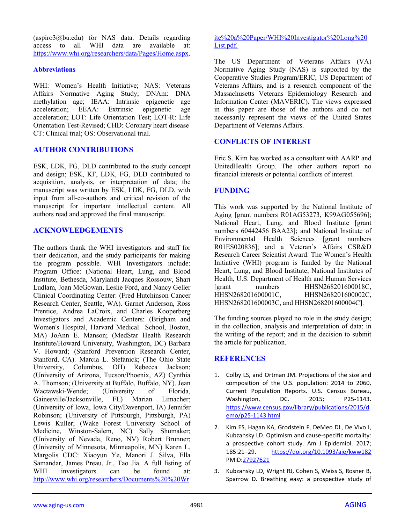(aspiro3@bu.edu) for NAS data. Details regarding access to all WHI data are available at: [https://www.whi.org/researchers/data/Pages/Home.aspx.](https://www.whi.org/researchers/data/Pages/Home.aspx)

## **Abbreviations**

WHI: Women's Health Initiative: NAS: Veterans Affairs Normative Aging Study; DNAm: DNA methylation age; IEAA: Intrinsic epigenetic age acceleration; EEAA: Extrinsic epigenetic age acceleration; LOT: Life Orientation Test; LOT-R: Life Orientation Test-Revised; CHD: Coronary heart disease CT: Clinical trial; OS: Observational trial.

## **AUTHOR CONTRIBUTIONS**

ESK, LDK, FG, DLD contributed to the study concept and design; ESK, KF, LDK, FG, DLD contributed to acquisition, analysis, or interpretation of data; the manuscript was written by ESK, LDK, FG, DLD, with input from all-co-authors and critical revision of the manuscript for important intellectual content. All authors read and approved the final manuscript.

## **ACKNOWLEDGEMENTS**

The authors thank the WHI investigators and staff for their dedication, and the study participants for making the program possible. WHI Investigators include: Program Office: (National Heart, Lung, and Blood Institute, Bethesda, Maryland) Jacques Rossouw, Shari Ludlam, Joan McGowan, Leslie Ford, and Nancy Geller Clinical Coordinating Center: (Fred Hutchinson Cancer Research Center, Seattle, WA). Garnet Anderson, Ross Prentice, Andrea LaCroix, and Charles Kooperberg Investigators and Academic Centers: (Brigham and Women's Hospital, Harvard Medical School, Boston, MA) JoAnn E. Manson; (MedStar Health Research Institute/Howard University, Washington, DC) Barbara V. Howard; (Stanford Prevention Research Center, Stanford, CA). Marcia L. Stefanick; (The Ohio State University, Columbus, OH) Rebecca Jackson; (University of Arizona, Tucson/Phoenix, AZ) Cynthia A. Thomson; (University at Buffalo, Buffalo, NY). Jean Wactawski-Wende; (University of Florida, Gainesville/Jacksonville, FL) Marian Limacher; (University of Iowa, Iowa City/Davenport, IA) Jennifer Robinson; (University of Pittsburgh, Pittsburgh, PA) Lewis Kuller; (Wake Forest University School of Medicine, Winston-Salem, NC) Sally Shumaker; (University of Nevada, Reno, NV) Robert Brunner; (University of Minnesota, Minneapolis, MN) Karen L. Margolis CDC: Xiaoyun Ye, Manori J. Silva, Ella Samandar, James Preau, Jr., Tao Jia. A full listing of WHI investigators can be found at: [http://www.whi.org/researchers/Documents%20%20Wr](http://www.whi.org/researchers/Documents%20%20Write%20a%20Paper/WHI%20Investigator%20Long%20List.pdf.)

[ite%20a%20Paper/WHI%20Investigator%20Long%20](http://www.whi.org/researchers/Documents%20%20Write%20a%20Paper/WHI%20Investigator%20Long%20List.pdf.) [List.pdf.](http://www.whi.org/researchers/Documents%20%20Write%20a%20Paper/WHI%20Investigator%20Long%20List.pdf.)

The US Department of Veterans Affairs (VA) Normative Aging Study (NAS) is supported by the Cooperative Studies Program/ERIC, US Department of Veterans Affairs, and is a research component of the Massachusetts Veterans Epidemiology Research and Information Center (MAVERIC). The views expressed in this paper are those of the authors and do not necessarily represent the views of the United States Department of Veterans Affairs.

## **CONFLICTS OF INTEREST**

Eric S. Kim has worked as a consultant with AARP and UnitedHealth Group. The other authors report no financial interests or potential conflicts of interest.

## **FUNDING**

This work was supported by the National Institute of Aging [grant numbers R01AG53273, K99AG055696]; National Heart, Lung, and Blood Institute [grant numbers 60442456 BAA23]; and National Institute of Environmental Health Sciences [grant numbers R01ES020836]; and a Veteran's Affairs CSR&D Research Career Scientist Award. The Women's Health Initiative (WHI) program is funded by the National Heart, Lung, and Blood Institute, National Institutes of Health, U.S. Department of Health and Human Services [grant numbers HHSN268201600018C, HHSN268201600001C, HHSN268201600002C, HHSN268201600003C, and HHSN268201600004C].

The funding sources played no role in the study design; in the collection, analysis and interpretation of data; in the writing of the report; and in the decision to submit the article for publication.

## **REFERENCES**

- 1. Colby LS, and Ortman JM. Projections of the size and composition of the U.S. population: 2014 to 2060, Current Population Reports. U.S. Census Bureau, Washington, DC. 2015; P25-1143. [https://www.census.gov/library/publications/2015/d](https://www.census.gov/library/publications/2015/demo/p25-1143.html) [emo/p25-1143.html](https://www.census.gov/library/publications/2015/demo/p25-1143.html)
- 2. Kim ES, Hagan KA, Grodstein F, DeMeo DL, De Vivo I, Kubzansky LD. Optimism and cause-specific mortality: a prospective cohort study. Am J Epidemiol. 2017; 185:21–29. <https://doi.org/10.1093/aje/kww182> PMID[:27927621](https://www.ncbi.nlm.nih.gov/entrez/query.fcgi?cmd=Retrieve&db=PubMed&list_uids=27927621&dopt=Abstract)
- 3. Kubzansky LD, Wright RJ, Cohen S, Weiss S, Rosner B, Sparrow D. Breathing easy: a prospective study of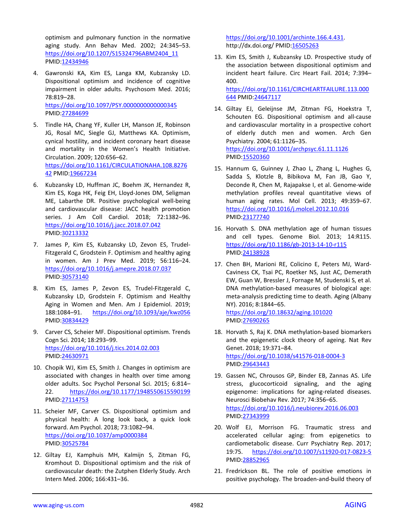optimism and pulmonary function in the normative aging study. Ann Behav Med. 2002; 24:345–53. [https://doi.org/10.1207/S15324796ABM2404\\_11](https://doi.org/10.1207/S15324796ABM2404_11) PMID[:12434946](https://www.ncbi.nlm.nih.gov/entrez/query.fcgi?cmd=Retrieve&db=PubMed&list_uids=12434946&dopt=Abstract)

- 4. Gawronski KA, Kim ES, Langa KM, Kubzansky LD. Dispositional optimism and incidence of cognitive impairment in older adults. Psychosom Med. 2016; 78:819–28. <https://doi.org/10.1097/PSY.0000000000000345> PMID[:27284699](https://www.ncbi.nlm.nih.gov/entrez/query.fcgi?cmd=Retrieve&db=PubMed&list_uids=27284699&dopt=Abstract)
- 5. Tindle HA, Chang YF, Kuller LH, Manson JE, Robinson JG, Rosal MC, Siegle GJ, Matthews KA. Optimism, cynical hostility, and incident coronary heart disease and mortality in the Women's Health Initiative. Circulation. 2009; 120:656–62. [https://doi.org/10.1161/CIRCULATIONAHA.108.8276](https://doi.org/10.1161/CIRCULATIONAHA.108.827642) [42](https://doi.org/10.1161/CIRCULATIONAHA.108.827642) PMID[:19667234](https://www.ncbi.nlm.nih.gov/entrez/query.fcgi?cmd=Retrieve&db=PubMed&list_uids=19667234&dopt=Abstract)
- 6. Kubzansky LD, Huffman JC, Boehm JK, Hernandez R, Kim ES, Koga HK, Feig EH, Lloyd-Jones DM, Seligman ME, Labarthe DR. Positive psychological well-being and cardiovascular disease: JACC health promotion series. J Am Coll Cardiol. 2018; 72:1382–96. <https://doi.org/10.1016/j.jacc.2018.07.042> PMID[:30213332](https://www.ncbi.nlm.nih.gov/entrez/query.fcgi?cmd=Retrieve&db=PubMed&list_uids=30213332&dopt=Abstract)
- 7. James P, Kim ES, Kubzansky LD, Zevon ES, Trudel-Fitzgerald C, Grodstein F. Optimism and healthy aging in women. Am J Prev Med. 2019; 56:116–24. <https://doi.org/10.1016/j.amepre.2018.07.037> PMID[:30573140](https://www.ncbi.nlm.nih.gov/entrez/query.fcgi?cmd=Retrieve&db=PubMed&list_uids=30573140&dopt=Abstract)
- 8. Kim ES, James P, Zevon ES, Trudel-Fitzgerald C, Kubzansky LD, Grodstein F. Optimism and Healthy Aging in Women and Men. Am J Epidemiol. 2019; 188:1084–91. <https://doi.org/10.1093/aje/kwz056> PMID[:30834429](https://www.ncbi.nlm.nih.gov/entrez/query.fcgi?cmd=Retrieve&db=PubMed&list_uids=30834429&dopt=Abstract)
- 9. Carver CS, Scheier MF. Dispositional optimism. Trends Cogn Sci. 2014; 18:293–99. <https://doi.org/10.1016/j.tics.2014.02.003> PMID[:24630971](https://www.ncbi.nlm.nih.gov/entrez/query.fcgi?cmd=Retrieve&db=PubMed&list_uids=24630971&dopt=Abstract)
- 10. Chopik WJ, Kim ES, Smith J. Changes in optimism are associated with changes in health over time among older adults. Soc Psychol Personal Sci. 2015; 6:814– 22. <https://doi.org/10.1177/1948550615590199> PMID[:27114753](https://www.ncbi.nlm.nih.gov/entrez/query.fcgi?cmd=Retrieve&db=PubMed&list_uids=27114753&dopt=Abstract)
- 11. Scheier MF, Carver CS. Dispositional optimism and physical health: A long look back, a quick look forward. Am Psychol. 2018; 73:1082–94. <https://doi.org/10.1037/amp0000384> PMID[:30525784](https://www.ncbi.nlm.nih.gov/entrez/query.fcgi?cmd=Retrieve&db=PubMed&list_uids=30525784&dopt=Abstract)
- 12. Giltay EJ, Kamphuis MH, Kalmijn S, Zitman FG, Kromhout D. Dispositional optimism and the risk of cardiovascular death: the Zutphen Elderly Study. Arch Intern Med. 2006; 166:431–36.

[https://doi.org/10.1001/archinte.166.4.431.](https://doi.org/10.1001/archinte.166.4.431) http://dx.doi.org/ PMID[:16505263](https://www.ncbi.nlm.nih.gov/entrez/query.fcgi?cmd=Retrieve&db=PubMed&list_uids=16505263&dopt=Abstract)

13. Kim ES, Smith J, Kubzansky LD. Prospective study of the association between dispositional optimism and incident heart failure. Circ Heart Fail. 2014; 7:394– 400.

[https://doi.org/10.1161/CIRCHEARTFAILURE.113.000](https://doi.org/10.1161/CIRCHEARTFAILURE.113.000644) [644](https://doi.org/10.1161/CIRCHEARTFAILURE.113.000644) PMID[:24647117](https://www.ncbi.nlm.nih.gov/entrez/query.fcgi?cmd=Retrieve&db=PubMed&list_uids=24647117&dopt=Abstract)

- 14. Giltay EJ, Geleijnse JM, Zitman FG, Hoekstra T, Schouten EG. Dispositional optimism and all-cause and cardiovascular mortality in a prospective cohort of elderly dutch men and women. Arch Gen Psychiatry. 2004; 61:1126–35. <https://doi.org/10.1001/archpsyc.61.11.1126> PMID[:15520360](https://www.ncbi.nlm.nih.gov/entrez/query.fcgi?cmd=Retrieve&db=PubMed&list_uids=15520360&dopt=Abstract)
- 15. Hannum G, Guinney J, Zhao L, Zhang L, Hughes G, Sadda S, Klotzle B, Bibikova M, Fan JB, Gao Y, Deconde R, Chen M, Rajapakse I, et al. Genome-wide methylation profiles reveal quantitative views of human aging rates. Mol Cell. 2013; 49:359–67. <https://doi.org/10.1016/j.molcel.2012.10.016> PMID[:23177740](https://www.ncbi.nlm.nih.gov/entrez/query.fcgi?cmd=Retrieve&db=PubMed&list_uids=23177740&dopt=Abstract)
- 16. Horvath S. DNA methylation age of human tissues and cell types. Genome Biol. 2013; 14:R115. <https://doi.org/10.1186/gb-2013-14-10-r115> PMID[:24138928](https://www.ncbi.nlm.nih.gov/entrez/query.fcgi?cmd=Retrieve&db=PubMed&list_uids=24138928&dopt=Abstract)
- 17. Chen BH, Marioni RE, Colicino E, Peters MJ, Ward-Caviness CK, Tsai PC, Roetker NS, Just AC, Demerath EW, Guan W, Bressler J, Fornage M, Studenski S, et al. DNA methylation-based measures of biological age: meta-analysis predicting time to death. Aging (Albany NY). 2016; 8:1844–65. <https://doi.org/10.18632/aging.101020> PMID[:27690265](https://www.ncbi.nlm.nih.gov/entrez/query.fcgi?cmd=Retrieve&db=PubMed&list_uids=27690265&dopt=Abstract)
- 18. Horvath S, Raj K. DNA methylation-based biomarkers and the epigenetic clock theory of ageing. Nat Rev Genet. 2018; 19:371–84. <https://doi.org/10.1038/s41576-018-0004-3> PMID[:29643443](https://www.ncbi.nlm.nih.gov/entrez/query.fcgi?cmd=Retrieve&db=PubMed&list_uids=29643443&dopt=Abstract)
- 19. Gassen NC, Chrousos GP, Binder EB, Zannas AS. Life stress, glucocorticoid signaling, and the aging epigenome: implications for aging-related diseases. Neurosci Biobehav Rev. 2017; 74:356–65. <https://doi.org/10.1016/j.neubiorev.2016.06.003> PMID[:27343999](https://www.ncbi.nlm.nih.gov/entrez/query.fcgi?cmd=Retrieve&db=PubMed&list_uids=27343999&dopt=Abstract)
- 20. Wolf EJ, Morrison FG. Traumatic stress and accelerated cellular aging: from epigenetics to cardiometabolic disease. Curr Psychiatry Rep. 2017; 19:75. <https://doi.org/10.1007/s11920-017-0823-5> PMID[:28852965](https://www.ncbi.nlm.nih.gov/entrez/query.fcgi?cmd=Retrieve&db=PubMed&list_uids=28852965&dopt=Abstract)
- 21. Fredrickson BL. The role of positive emotions in positive psychology. The broaden-and-build theory of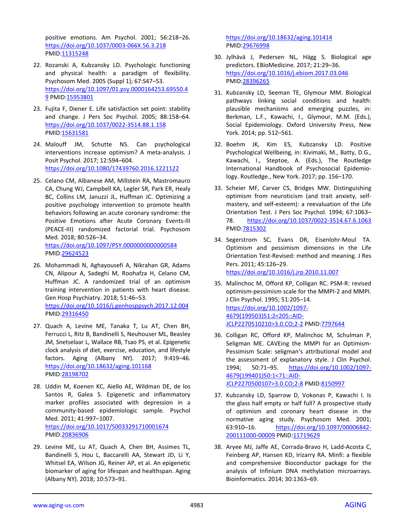positive emotions. Am Psychol. 2001; 56:218–26. <https://doi.org/10.1037/0003-066X.56.3.218> PMID[:11315248](https://www.ncbi.nlm.nih.gov/entrez/query.fcgi?cmd=Retrieve&db=PubMed&list_uids=11315248&dopt=Abstract)

- 22. Rozanski A, Kubzansky LD. Psychologic functioning and physical health: a paradigm of flexibility. Psychosom Med. 2005 (Suppl 1); 67:S47–53. [https://doi.org/10.1097/01.psy.0000164253.69550.4](https://doi.org/10.1097/01.psy.0000164253.69550.49) [9](https://doi.org/10.1097/01.psy.0000164253.69550.49) PMID[:15953801](https://www.ncbi.nlm.nih.gov/entrez/query.fcgi?cmd=Retrieve&db=PubMed&list_uids=15953801&dopt=Abstract)
- 23. Fujita F, Diener E. Life satisfaction set point: stability and change. J Pers Soc Psychol. 2005; 88:158–64. <https://doi.org/10.1037/0022-3514.88.1.158> PMID[:15631581](https://www.ncbi.nlm.nih.gov/entrez/query.fcgi?cmd=Retrieve&db=PubMed&list_uids=15631581&dopt=Abstract)
- 24. Malouff JM, Schutte NS. Can psychological interventions increase optimism? A meta-analysis. J Posit Psychol. 2017; 12:594–604. <https://doi.org/10.1080/17439760.2016.1221122>
- 25. Celano CM, Albanese AM, Millstein RA, Mastromauro CA, Chung WJ, Campbell KA, Legler SR, Park ER, Healy BC, Collins LM, Januzzi JL, Huffman JC. Optimizing a positive psychology intervention to promote health behaviors following an acute coronary syndrome: the Positive Emotions after Acute Coronary Events-III (PEACE-III) randomized factorial trial. Psychosom Med. 2018; 80:526–34. <https://doi.org/10.1097/PSY.0000000000000584>

PMID[:29624523](https://www.ncbi.nlm.nih.gov/entrez/query.fcgi?cmd=Retrieve&db=PubMed&list_uids=29624523&dopt=Abstract)

- 26. Mohammadi N, Aghayousefi A, Nikrahan GR, Adams CN, Alipour A, Sadeghi M, Roohafza H, Celano CM, Huffman JC. A randomized trial of an optimism training intervention in patients with heart disease. Gen Hosp Psychiatry. 2018; 51:46–53. <https://doi.org/10.1016/j.genhosppsych.2017.12.004> PMID[:29316450](https://www.ncbi.nlm.nih.gov/entrez/query.fcgi?cmd=Retrieve&db=PubMed&list_uids=29316450&dopt=Abstract)
- 27. Quach A, Levine ME, Tanaka T, Lu AT, Chen BH, Ferrucci L, Ritz B, Bandinelli S, Neuhouser ML, Beasley JM, Snetselaar L, Wallace RB, Tsao PS, et al. Epigenetic clock analysis of diet, exercise, education, and lifestyle factors. Aging (Albany NY). 2017; 9:419–46. <https://doi.org/10.18632/aging.101168> PMID[:28198702](https://www.ncbi.nlm.nih.gov/entrez/query.fcgi?cmd=Retrieve&db=PubMed&list_uids=28198702&dopt=Abstract)
- 28. Uddin M, Koenen KC, Aiello AE, Wildman DE, de los Santos R, Galea S. Epigenetic and inflammatory marker profiles associated with depression in a community-based epidemiologic sample. Psychol Med. 2011; 41:997–1007. <https://doi.org/10.1017/S0033291710001674> PMID[:20836906](https://www.ncbi.nlm.nih.gov/entrez/query.fcgi?cmd=Retrieve&db=PubMed&list_uids=20836906&dopt=Abstract)
- 29. Levine ME, Lu AT, Quach A, Chen BH, Assimes TL, Bandinelli S, Hou L, Baccarelli AA, Stewart JD, Li Y, Whitsel EA, Wilson JG, Reiner AP, et al. An epigenetic biomarker of aging for lifespan and healthspan. Aging (Albany NY). 2018; 10:573–91.

<https://doi.org/10.18632/aging.101414> PMID[:29676998](https://www.ncbi.nlm.nih.gov/entrez/query.fcgi?cmd=Retrieve&db=PubMed&list_uids=29676998&dopt=Abstract)

- 30. Jylhävä J, Pedersen NL, Hägg S. Biological age predictors. EBioMedicine. 2017; 21:29–36. <https://doi.org/10.1016/j.ebiom.2017.03.046> PMID[:28396265](https://www.ncbi.nlm.nih.gov/entrez/query.fcgi?cmd=Retrieve&db=PubMed&list_uids=28396265&dopt=Abstract)
- 31. Kubzansky LD, Seeman TE, Glymour MM. Biological pathways linking social conditions and health: plausible mechanisms and emerging puzzles, in: Berkman, L.F., Kawachi, I., Glymour, M.M. (Eds.), Social Epidemiology. Oxford University Press, New York. 2014; pp. 512–561.
- 32. Boehm JK, Kim ES, Kubzansky LD. Positive Psychological Wellbeing, in: Kivimaki, M., Batty, D.G., Kawachi, I., Steptoe, A. (Eds.), The Routledge International Handbook of Psychosocial Epidemiology. Routledge., New York. 2017; pp. 156–170.
- 33. Scheier MF, Carver CS, Bridges MW. Distinguishing optimism from neuroticism (and trait anxiety, selfmastery, and self-esteem): a reevaluation of the Life Orientation Test. J Pers Soc Psychol. 1994; 67:1063– 78. <https://doi.org/10.1037/0022-3514.67.6.1063> PMID[:7815302](https://www.ncbi.nlm.nih.gov/entrez/query.fcgi?cmd=Retrieve&db=PubMed&list_uids=7815302&dopt=Abstract)
- 34. Segerstrom SC, Evans DR, Eisenlohr-Moul TA. Optimism and pessimism dimensions in the Life Orientation Test-Revised: method and meaning. J Res Pers. 2011; 45:126–29. <https://doi.org/10.1016/j.jrp.2010.11.007>
- 35. Malinchoc M, Offord KP, Colligan RC. PSM-R: revised optimism-pessimism scale for the MMPI-2 and MMPI. J Clin Psychol. 1995; 51:205–14. [https://doi.org/10.1002/1097-](https://doi.org/10.1002/1097-4679(199503)51:2%3c205::AID-JCLP2270510210%3e3.0.CO;2-2) [4679\(199503\)51:2<205::AID-](https://doi.org/10.1002/1097-4679(199503)51:2%3c205::AID-JCLP2270510210%3e3.0.CO;2-2)[JCLP2270510210>3.0.CO;2-2](https://doi.org/10.1002/1097-4679(199503)51:2%3c205::AID-JCLP2270510210%3e3.0.CO;2-2) PMID[:7797644](https://www.ncbi.nlm.nih.gov/entrez/query.fcgi?cmd=Retrieve&db=PubMed&list_uids=7797644&dopt=Abstract)
- 36. Colligan RC, Offord KP, Malinchoc M, Schulman P, Seligman ME. CAVEing the MMPI for an Optimism-Pessimism Scale: seligman's attributional model and the assessment of explanatory style. J Clin Psychol. 1994; 50:71–95. [https://doi.org/10.1002/1097-](https://doi.org/10.1002/1097-4679(199401)50:1%3c71::AID-JCLP2270500107%3e3.0.CO;2-8) [4679\(199401\)50:1<71::AID-](https://doi.org/10.1002/1097-4679(199401)50:1%3c71::AID-JCLP2270500107%3e3.0.CO;2-8)[JCLP2270500107>3.0.CO;2-8](https://doi.org/10.1002/1097-4679(199401)50:1%3c71::AID-JCLP2270500107%3e3.0.CO;2-8) PMID[:8150997](https://www.ncbi.nlm.nih.gov/entrez/query.fcgi?cmd=Retrieve&db=PubMed&list_uids=8150997&dopt=Abstract)
- 37. Kubzansky LD, Sparrow D, Vokonas P, Kawachi I. Is the glass half empty or half full? A prospective study of optimism and coronary heart disease in the normative aging study. Psychosom Med. 2001; 63:910–16. [https://doi.org/10.1097/00006842-](https://doi.org/10.1097/00006842-200111000-00009) [200111000-00009](https://doi.org/10.1097/00006842-200111000-00009) PMID[:11719629](https://www.ncbi.nlm.nih.gov/entrez/query.fcgi?cmd=Retrieve&db=PubMed&list_uids=11719629&dopt=Abstract)
- 38. Aryee MJ, Jaffe AE, Corrada-Bravo H, Ladd-Acosta C, Feinberg AP, Hansen KD, Irizarry RA. Minfi: a flexible and comprehensive Bioconductor package for the analysis of Infinium DNA methylation microarrays. Bioinformatics. 2014; 30:1363–69.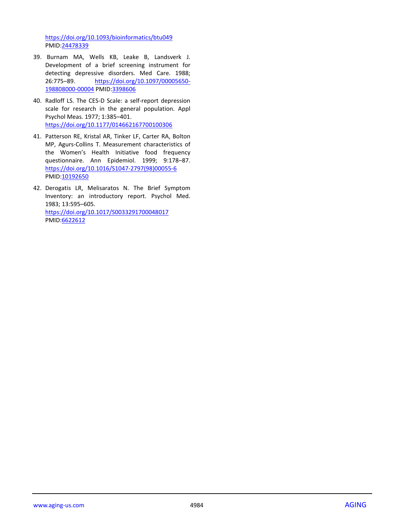<https://doi.org/10.1093/bioinformatics/btu049> PMID[:24478339](https://www.ncbi.nlm.nih.gov/entrez/query.fcgi?cmd=Retrieve&db=PubMed&list_uids=24478339&dopt=Abstract)

- 39. Burnam MA, Wells KB, Leake B, Landsverk J. Development of a brief screening instrument for detecting depressive disorders. Med Care. 1988; 26:775–89. [https://doi.org/10.1097/00005650-](https://doi.org/10.1097/00005650-198808000-00004) [198808000-00004](https://doi.org/10.1097/00005650-198808000-00004) PMID[:3398606](https://www.ncbi.nlm.nih.gov/entrez/query.fcgi?cmd=Retrieve&db=PubMed&list_uids=3398606&dopt=Abstract)
- 40. Radloff LS. The CES-D Scale: a self-report depression scale for research in the general population. Appl Psychol Meas. 1977; 1:385–401. <https://doi.org/10.1177/014662167700100306>
- 41. Patterson RE, Kristal AR, Tinker LF, Carter RA, Bolton MP, Agurs-Collins T. Measurement characteristics of the Women's Health Initiative food frequency questionnaire. Ann Epidemiol. 1999; 9:178–87. [https://doi.org/10.1016/S1047-2797\(98\)00055-6](https://doi.org/10.1016/S1047-2797(98)00055-6) PMID[:10192650](https://www.ncbi.nlm.nih.gov/entrez/query.fcgi?cmd=Retrieve&db=PubMed&list_uids=10192650&dopt=Abstract)
- 42. Derogatis LR, Melisaratos N. The Brief Symptom Inventory: an introductory report. Psychol Med. 1983; 13:595–605. <https://doi.org/10.1017/S0033291700048017> PMID[:6622612](https://www.ncbi.nlm.nih.gov/entrez/query.fcgi?cmd=Retrieve&db=PubMed&list_uids=6622612&dopt=Abstract)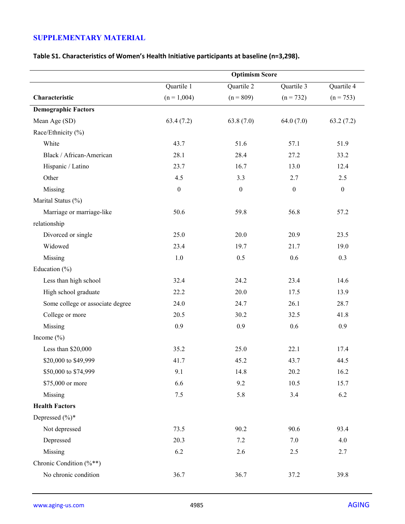## **SUPPLEMENTARY MATERIAL**

|                                  | <b>Optimism Score</b> |                  |                  |                  |  |
|----------------------------------|-----------------------|------------------|------------------|------------------|--|
|                                  | Quartile 1            | Quartile 2       | Quartile 3       | Quartile 4       |  |
| Characteristic                   | $(n = 1,004)$         | $(n = 809)$      | $(n = 732)$      | $(n = 753)$      |  |
| <b>Demographic Factors</b>       |                       |                  |                  |                  |  |
| Mean Age (SD)                    | 63.4(7.2)             | 63.8(7.0)        | 64.0(7.0)        | 63.2(7.2)        |  |
| Race/Ethnicity (%)               |                       |                  |                  |                  |  |
| White                            | 43.7                  | 51.6             | 57.1             | 51.9             |  |
| Black / African-American         | 28.1                  | 28.4             | 27.2             | 33.2             |  |
| Hispanic / Latino                | 23.7                  | 16.7             | 13.0             | 12.4             |  |
| Other                            | 4.5                   | 3.3              | 2.7              | 2.5              |  |
| Missing                          | $\boldsymbol{0}$      | $\boldsymbol{0}$ | $\boldsymbol{0}$ | $\boldsymbol{0}$ |  |
| Marital Status (%)               |                       |                  |                  |                  |  |
| Marriage or marriage-like        | 50.6                  | 59.8             | 56.8             | 57.2             |  |
| relationship                     |                       |                  |                  |                  |  |
| Divorced or single               | 25.0                  | 20.0             | 20.9             | 23.5             |  |
| Widowed                          | 23.4                  | 19.7             | 21.7             | 19.0             |  |
| Missing                          | $1.0\,$               | 0.5              | 0.6              | 0.3              |  |
| Education $(\% )$                |                       |                  |                  |                  |  |
| Less than high school            | 32.4                  | 24.2             | 23.4             | 14.6             |  |
| High school graduate             | 22.2                  | 20.0             | 17.5             | 13.9             |  |
| Some college or associate degree | 24.0                  | 24.7             | 26.1             | 28.7             |  |
| College or more                  | 20.5                  | 30.2             | 32.5             | 41.8             |  |
| Missing                          | 0.9                   | 0.9              | 0.6              | 0.9              |  |
| Income $(\% )$                   |                       |                  |                  |                  |  |
| Less than \$20,000               | 35.2                  | 25.0             | 22.1             | 17.4             |  |
| \$20,000 to \$49,999             | 41.7                  | 45.2             | 43.7             | 44.5             |  |
| \$50,000 to \$74,999             | 9.1                   | 14.8             | 20.2             | 16.2             |  |
| \$75,000 or more                 | 6.6                   | 9.2              | 10.5             | 15.7             |  |
| Missing                          | 7.5                   | 5.8              | 3.4              | 6.2              |  |
| <b>Health Factors</b>            |                       |                  |                  |                  |  |
| Depressed $(\%)^*$               |                       |                  |                  |                  |  |
| Not depressed                    | 73.5                  | 90.2             | 90.6             | 93.4             |  |
| Depressed                        | 20.3                  | 7.2              | 7.0              | 4.0              |  |
| Missing                          | 6.2                   | 2.6              | 2.5              | 2.7              |  |
| Chronic Condition (%**)          |                       |                  |                  |                  |  |
| No chronic condition             | 36.7                  | 36.7             | 37.2             | 39.8             |  |

## **Table S1. Characteristics of Women's Health Initiative participants at baseline (n=3,298).**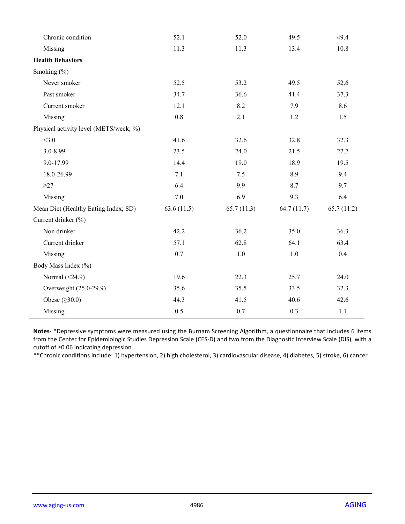| 52.1          | 52.0       | 49.5       | 49.4       |
|---------------|------------|------------|------------|
| 11.3          | 11.3       | 13.4       | 10.8       |
|               |            |            |            |
|               |            |            |            |
| 52.5          | 53.2       | 49.5       | 52.6       |
| 34.7          | 36.6       | 41.4       | 37.3       |
| 12.1          | 8.2        | 7.9        | 8.6        |
| 0.8           | 2.1        | 1.2        | 1.5        |
|               |            |            |            |
| 41.6          | 32.6       | 32.8       | 32.3       |
| 23.5          | 24.0       | 21.5       | 22.7       |
| 14.4          | 19.0       | 18.9       | 19.5       |
| 7.1           | 7.5        | 8.9        | 9.4        |
| 6.4           | 9.9        | 8.7        | 9.7        |
| $7.0\,$       | 6.9        | 9.3        | 6.4        |
| 63.6 $(11.5)$ | 65.7(11.3) | 64.7(11.7) | 65.7(11.2) |
|               |            |            |            |
| 42.2          | 36.2       | 35.0       | 36.3       |
| 57.1          | 62.8       | 64.1       | 63.4       |
| 0.7           | $1.0\,$    | $1.0\,$    | 0.4        |
|               |            |            |            |
| 19.6          | 22.3       | 25.7       | 24.0       |
| 35.6          | 35.5       | 33.5       | 32.3       |
| 44.3          | 41.5       | 40.6       | 42.6       |
| 0.5           | $0.7\,$    | 0.3        | 1.1        |
|               |            |            |            |

**Notes-** \*Depressive symptoms were measured using the Burnam Screening Algorithm, a questionnaire that includes 6 items from the Center for Epidemiologic Studies Depression Scale (CES-D) and two from the Diagnostic Interview Scale (DIS), with a cutoff of ≥0.06 indicating depression

\*\*Chronic conditions include: 1) hypertension, 2) high cholesterol, 3) cardiovascular disease, 4) diabetes, 5) stroke, 6) cancer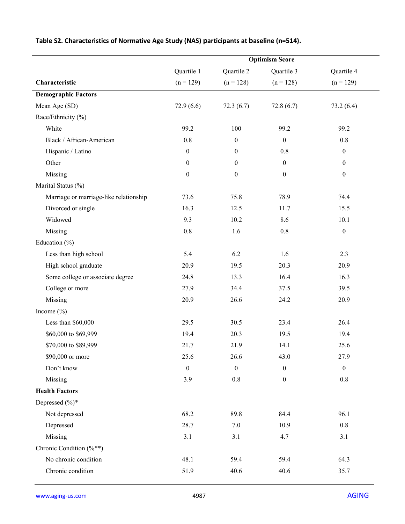|                                        | <b>Optimism Score</b> |                  |                  |                  |  |
|----------------------------------------|-----------------------|------------------|------------------|------------------|--|
|                                        | Quartile 1            | Quartile 2       | Quartile 3       | Quartile 4       |  |
| Characteristic                         | $(n = 129)$           | $(n = 128)$      | $(n = 128)$      | $(n = 129)$      |  |
| <b>Demographic Factors</b>             |                       |                  |                  |                  |  |
| Mean Age (SD)                          | 72.9(6.6)             | 72.3(6.7)        | 72.8(6.7)        | 73.2(6.4)        |  |
| Race/Ethnicity (%)                     |                       |                  |                  |                  |  |
| White                                  | 99.2                  | 100              | 99.2             | 99.2             |  |
| Black / African-American               | $0.8\,$               | $\boldsymbol{0}$ | $\boldsymbol{0}$ | $0.8\,$          |  |
| Hispanic / Latino                      | $\boldsymbol{0}$      | $\boldsymbol{0}$ | 0.8              | $\mathbf{0}$     |  |
| Other                                  | $\boldsymbol{0}$      | $\boldsymbol{0}$ | $\boldsymbol{0}$ | $\boldsymbol{0}$ |  |
| Missing                                | $\boldsymbol{0}$      | $\boldsymbol{0}$ | $\boldsymbol{0}$ | $\boldsymbol{0}$ |  |
| Marital Status (%)                     |                       |                  |                  |                  |  |
| Marriage or marriage-like relationship | 73.6                  | 75.8             | 78.9             | 74.4             |  |
| Divorced or single                     | 16.3                  | 12.5             | 11.7             | 15.5             |  |
| Widowed                                | 9.3                   | 10.2             | 8.6              | 10.1             |  |
| Missing                                | $0.8\,$               | 1.6              | $0.8\,$          | $\boldsymbol{0}$ |  |
| Education $(\% )$                      |                       |                  |                  |                  |  |
| Less than high school                  | 5.4                   | 6.2              | 1.6              | 2.3              |  |
| High school graduate                   | 20.9                  | 19.5             | 20.3             | 20.9             |  |
| Some college or associate degree       | 24.8                  | 13.3             | 16.4             | 16.3             |  |
| College or more                        | 27.9                  | 34.4             | 37.5             | 39.5             |  |
| Missing                                | 20.9                  | 26.6             | 24.2             | 20.9             |  |
| Income $(\% )$                         |                       |                  |                  |                  |  |
| Less than \$60,000                     | 29.5                  | 30.5             | 23.4             | 26.4             |  |
| \$60,000 to \$69,999                   | 19.4                  | 20.3             | 19.5             | 19.4             |  |
| \$70,000 to \$89,999                   | 21.7                  | 21.9             | 14.1             | 25.6             |  |
| \$90,000 or more                       | 25.6                  | 26.6             | 43.0             | 27.9             |  |
| Don't know                             | $\boldsymbol{0}$      | $\boldsymbol{0}$ | $\boldsymbol{0}$ | $\boldsymbol{0}$ |  |
| Missing                                | 3.9                   | $0.8\,$          | $\boldsymbol{0}$ | $0.8\,$          |  |
| <b>Health Factors</b>                  |                       |                  |                  |                  |  |
| Depressed $(\%)^*$                     |                       |                  |                  |                  |  |
| Not depressed                          | 68.2                  | 89.8             | 84.4             | 96.1             |  |
| Depressed                              | 28.7                  | 7.0              | 10.9             | $0.8\,$          |  |
| Missing                                | 3.1                   | 3.1              | 4.7              | 3.1              |  |
| Chronic Condition (%**)                |                       |                  |                  |                  |  |
| No chronic condition                   | 48.1                  | 59.4             | 59.4             | 64.3             |  |
| Chronic condition                      | 51.9                  | 40.6             | 40.6             | 35.7             |  |

# **Table S2. Characteristics of Normative Age Study (NAS) participants at baseline (n=514).**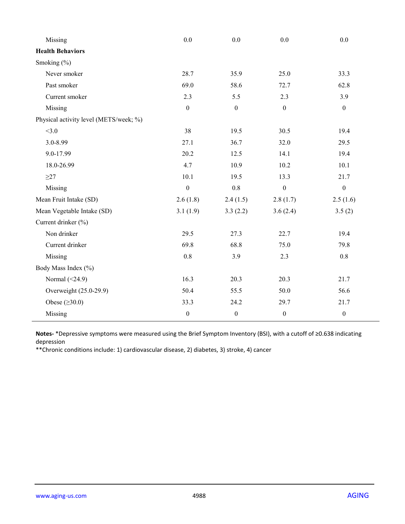| Missing                                | 0.0              | 0.0              | 0.0              | 0.0              |
|----------------------------------------|------------------|------------------|------------------|------------------|
| <b>Health Behaviors</b>                |                  |                  |                  |                  |
| Smoking (%)                            |                  |                  |                  |                  |
| Never smoker                           | 28.7             | 35.9             | 25.0             | 33.3             |
| Past smoker                            | 69.0             | 58.6             | 72.7             | 62.8             |
| Current smoker                         | 2.3              | 5.5              | 2.3              | 3.9              |
| Missing                                | $\boldsymbol{0}$ | $\boldsymbol{0}$ | $\mathbf{0}$     | $\boldsymbol{0}$ |
| Physical activity level (METS/week; %) |                  |                  |                  |                  |
| <3.0                                   | 38               | 19.5             | 30.5             | 19.4             |
| 3.0-8.99                               | 27.1             | 36.7             | 32.0             | 29.5             |
| 9.0-17.99                              | 20.2             | 12.5             | 14.1             | 19.4             |
| 18.0-26.99                             | 4.7              | 10.9             | 10.2             | 10.1             |
| $\geq$ 27                              | 10.1             | 19.5             | 13.3             | 21.7             |
| Missing                                | $\boldsymbol{0}$ | $0.8\,$          | $\boldsymbol{0}$ | $\boldsymbol{0}$ |
| Mean Fruit Intake (SD)                 | 2.6(1.8)         | 2.4(1.5)         | 2.8(1.7)         | 2.5(1.6)         |
| Mean Vegetable Intake (SD)             | 3.1(1.9)         | 3.3(2.2)         | 3.6(2.4)         | 3.5(2)           |
| Current drinker (%)                    |                  |                  |                  |                  |
| Non drinker                            | 29.5             | 27.3             | 22.7             | 19.4             |
| Current drinker                        | 69.8             | 68.8             | 75.0             | 79.8             |
| Missing                                | $0.8\,$          | 3.9              | 2.3              | $0.8\,$          |
| Body Mass Index (%)                    |                  |                  |                  |                  |
| Normal $(\leq 24.9)$                   | 16.3             | 20.3             | 20.3             | 21.7             |
| Overweight (25.0-29.9)                 | 50.4             | 55.5             | 50.0             | 56.6             |
| Obese $(\geq 30.0)$                    | 33.3             | 24.2             | 29.7             | 21.7             |
| Missing                                | $\boldsymbol{0}$ | $\boldsymbol{0}$ | $\boldsymbol{0}$ | $\boldsymbol{0}$ |

**Notes-** \*Depressive symptoms were measured using the Brief Symptom Inventory (BSI), with a cutoff of ≥0.638 indicating depression

\*\*Chronic conditions include: 1) cardiovascular disease, 2) diabetes, 3) stroke, 4) cancer